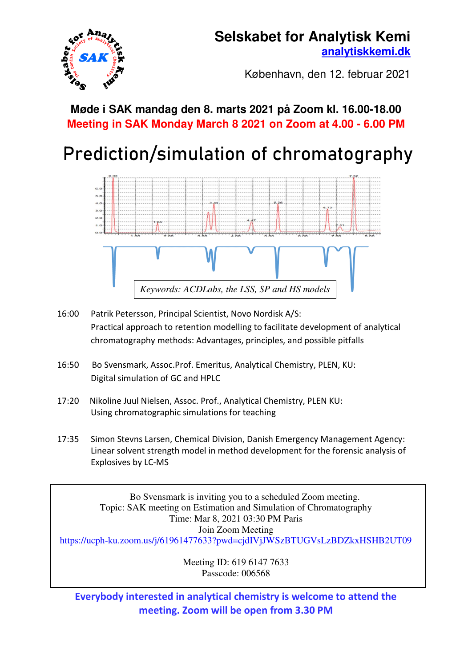## **Selskabet for Analytisk Kemi [analytiskkemi.dk](http://www.analytiskkemi.dk/)**



København, den 12. februar 2021

## **Møde i SAK mandag den 8. marts 2021 på Zoom kl. 16.00-18.00 Meeting in SAK Monday March 8 2021 on Zoom at 4.00 - 6.00 PM**

# Prediction/simulation of chromatography



- 16:00 Patrik Petersson, Principal Scientist, Novo Nordisk A/S: Practical approach to retention modelling to facilitate development of analytical chromatography methods: Advantages, principles, and possible pitfalls
- 16:50 Bo Svensmark, Assoc.Prof. Emeritus, Analytical Chemistry, PLEN, KU: Digital simulation of GC and HPLC
- 17:20 Nikoline Juul Nielsen, Assoc. Prof., Analytical Chemistry, PLEN KU: Using chromatographic simulations for teaching
- 17:35 Simon Stevns Larsen, Chemical Division, Danish Emergency Management Agency: Linear solvent strength model in method development for the forensic analysis of Explosives by LC-MS

 Bo Svensmark is inviting you to a scheduled Zoom meeting. Topic: SAK meeting on Estimation and Simulation of Chromatography Time: Mar 8, 2021 03:30 PM Paris Join Zoom Meeting <https://ucph-ku.zoom.us/j/61961477633?pwd=cjdIVjJWSzBTUGVsLzBDZkxHSHB2UT09>

> Meeting ID: 619 6147 7633 Passcode: 006568

**Everybody interested in analytical chemistry is welcome to attend the meeting. Zoom will be open from 3.30 PM**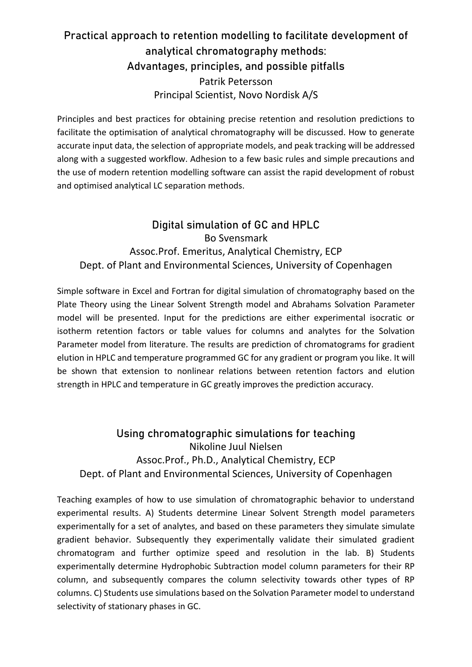## Practical approach to retention modelling to facilitate development of analytical chromatography methods: Advantages, principles, and possible pitfalls Patrik Petersson Principal Scientist, Novo Nordisk A/S

Principles and best practices for obtaining precise retention and resolution predictions to facilitate the optimisation of analytical chromatography will be discussed. How to generate accurate input data, the selection of appropriate models, and peak tracking will be addressed along with a suggested workflow. Adhesion to a few basic rules and simple precautions and the use of modern retention modelling software can assist the rapid development of robust and optimised analytical LC separation methods.

### Digital simulation of GC and HPLC Bo Svensmark Assoc.Prof. Emeritus, Analytical Chemistry, ECP Dept. of Plant and Environmental Sciences, University of Copenhagen

Simple software in Excel and Fortran for digital simulation of chromatography based on the Plate Theory using the Linear Solvent Strength model and Abrahams Solvation Parameter model will be presented. Input for the predictions are either experimental isocratic or isotherm retention factors or table values for columns and analytes for the Solvation Parameter model from literature. The results are prediction of chromatograms for gradient elution in HPLC and temperature programmed GC for any gradient or program you like. It will be shown that extension to nonlinear relations between retention factors and elution strength in HPLC and temperature in GC greatly improves the prediction accuracy.

### Using chromatographic simulations for teaching Nikoline Juul Nielsen Assoc.Prof., Ph.D., Analytical Chemistry, ECP Dept. of Plant and Environmental Sciences, University of Copenhagen

Teaching examples of how to use simulation of chromatographic behavior to understand experimental results. A) Students determine Linear Solvent Strength model parameters experimentally for a set of analytes, and based on these parameters they simulate simulate gradient behavior. Subsequently they experimentally validate their simulated gradient chromatogram and further optimize speed and resolution in the lab. B) Students experimentally determine Hydrophobic Subtraction model column parameters for their RP column, and subsequently compares the column selectivity towards other types of RP columns. C) Students use simulations based on the Solvation Parameter model to understand selectivity of stationary phases in GC.